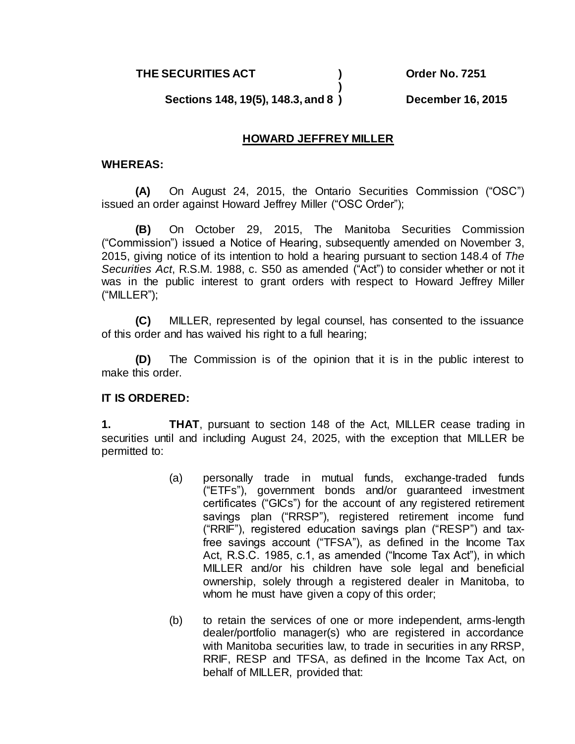**THE SECURITIES ACT ) Order No. 7251**

**) Sections 148, 19(5), 148.3, and 8 ) December 16, 2015**

## **HOWARD JEFFREY MILLER**

## **WHEREAS:**

**(A)** On August 24, 2015, the Ontario Securities Commission ("OSC") issued an order against Howard Jeffrey Miller ("OSC Order");

**(B)** On October 29, 2015, The Manitoba Securities Commission ("Commission") issued a Notice of Hearing, subsequently amended on November 3, 2015, giving notice of its intention to hold a hearing pursuant to section 148.4 of *The Securities Act*, R.S.M. 1988, c. S50 as amended ("Act") to consider whether or not it was in the public interest to grant orders with respect to Howard Jeffrey Miller ("MILLER");

**(C)** MILLER, represented by legal counsel, has consented to the issuance of this order and has waived his right to a full hearing;

**(D)** The Commission is of the opinion that it is in the public interest to make this order.

## **IT IS ORDERED:**

**1. THAT**, pursuant to section 148 of the Act, MILLER cease trading in securities until and including August 24, 2025, with the exception that MILLER be permitted to:

- (a) personally trade in mutual funds, exchange-traded funds ("ETFs"), government bonds and/or guaranteed investment certificates ("GICs") for the account of any registered retirement savings plan ("RRSP"), registered retirement income fund ("RRIF"), registered education savings plan ("RESP") and taxfree savings account ("TFSA"), as defined in the Income Tax Act, R.S.C. 1985, c.1, as amended ("Income Tax Act"), in which MILLER and/or his children have sole legal and beneficial ownership, solely through a registered dealer in Manitoba, to whom he must have given a copy of this order;
- (b) to retain the services of one or more independent, arms-length dealer/portfolio manager(s) who are registered in accordance with Manitoba securities law, to trade in securities in any RRSP. RRIF, RESP and TFSA, as defined in the Income Tax Act, on behalf of MILLER, provided that: